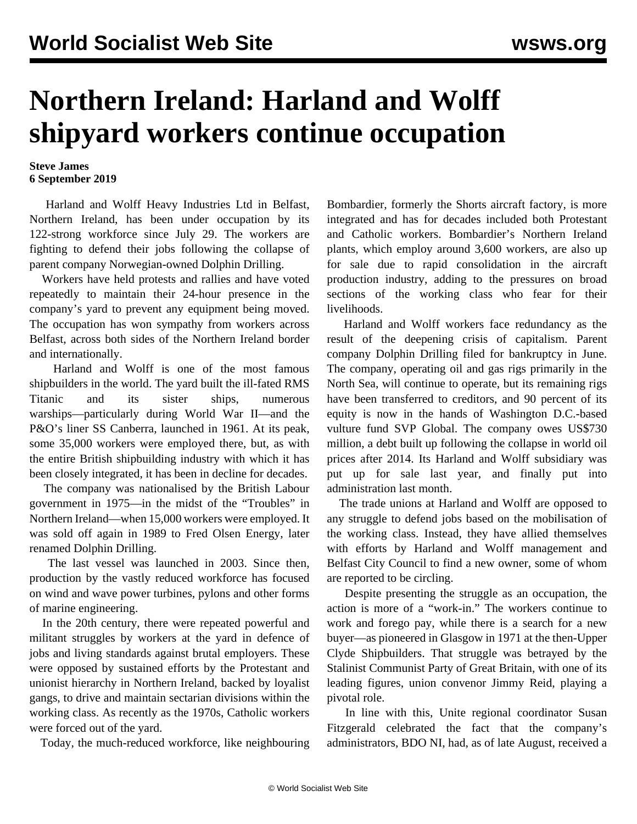## **Northern Ireland: Harland and Wolff shipyard workers continue occupation**

## **Steve James 6 September 2019**

 Harland and Wolff Heavy Industries Ltd in Belfast, Northern Ireland, has been under occupation by its 122-strong workforce since July 29. The workers are fighting to defend their jobs following the collapse of parent company Norwegian-owned Dolphin Drilling.

 Workers have held protests and rallies and have voted repeatedly to maintain their 24-hour presence in the company's yard to prevent any equipment being moved. The occupation has won sympathy from workers across Belfast, across both sides of the Northern Ireland border and internationally.

 Harland and Wolff is one of the most famous shipbuilders in the world. The yard built the ill-fated RMS Titanic and its sister ships, numerous warships—particularly during World War II—and the P&O's liner SS Canberra, launched in 1961. At its peak, some 35,000 workers were employed there, but, as with the entire British shipbuilding industry with which it has been closely integrated, it has been in decline for decades.

 The company was nationalised by the British Labour government in 1975—in the midst of the "Troubles" in Northern Ireland—when 15,000 workers were employed. It was sold off again in 1989 to Fred Olsen Energy, later renamed Dolphin Drilling.

 The last vessel was launched in 2003. Since then, production by the vastly reduced workforce has focused on wind and wave power turbines, pylons and other forms of marine engineering.

 In the 20th century, there were repeated powerful and militant struggles by workers at the yard in defence of jobs and living standards against brutal employers. These were opposed by sustained efforts by the Protestant and unionist hierarchy in Northern Ireland, backed by loyalist gangs, to drive and maintain sectarian divisions within the working class. As recently as the 1970s, Catholic workers were forced out of the yard.

Today, the much-reduced workforce, like neighbouring

Bombardier, formerly the Shorts aircraft factory, is more integrated and has for decades included both Protestant and Catholic workers. Bombardier's Northern Ireland plants, which employ around 3,600 workers, are also up for sale due to rapid consolidation in the aircraft production industry, adding to the pressures on broad sections of the working class who fear for their livelihoods.

 Harland and Wolff workers face redundancy as the result of the deepening crisis of capitalism. Parent company Dolphin Drilling filed for bankruptcy in June. The company, operating oil and gas rigs primarily in the North Sea, will continue to operate, but its remaining rigs have been transferred to creditors, and 90 percent of its equity is now in the hands of Washington D.C.-based vulture fund SVP Global. The company owes US\$730 million, a debt built up following the collapse in world oil prices after 2014. Its Harland and Wolff subsidiary was put up for sale last year, and finally put into administration last month.

 The trade unions at Harland and Wolff are opposed to any struggle to defend jobs based on the mobilisation of the working class. Instead, they have allied themselves with efforts by Harland and Wolff management and Belfast City Council to find a new owner, some of whom are reported to be circling.

 Despite presenting the struggle as an occupation, the action is more of a "work-in." The workers continue to work and forego pay, while there is a search for a new buyer—as pioneered in Glasgow in 1971 at the then-Upper Clyde Shipbuilders. That struggle was betrayed by the Stalinist Communist Party of Great Britain, with one of its leading figures, union convenor [Jimmy Reid,](/en/articles/2010/08/reid-a25.html) playing a pivotal role.

 In line with this, Unite regional coordinator Susan Fitzgerald celebrated the fact that the company's administrators, BDO NI, had, as of late August, received a